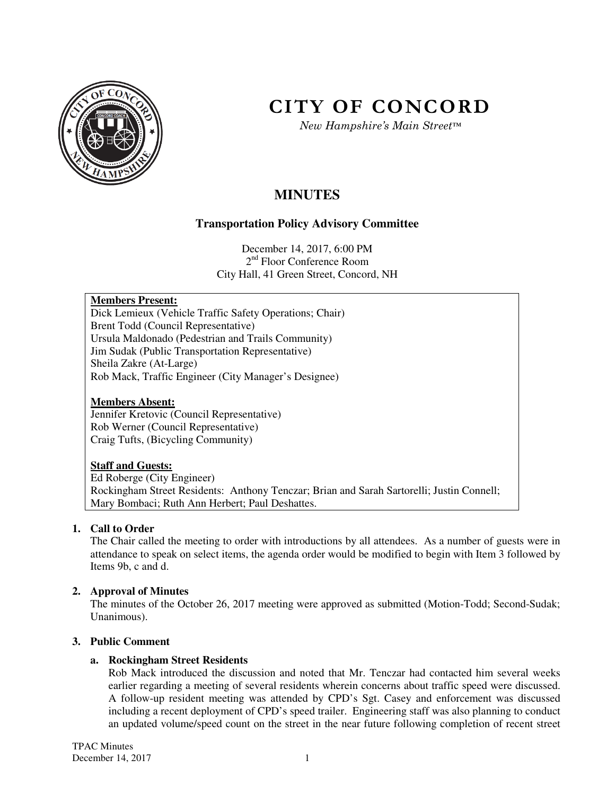

# **CITY OF CONCORD**

*New Hampshire's Main Street™*

# **MINUTES**

# **Transportation Policy Advisory Committee**

December 14, 2017, 6:00 PM 2<sup>nd</sup> Floor Conference Room City Hall, 41 Green Street, Concord, NH

# **Members Present:**

Dick Lemieux (Vehicle Traffic Safety Operations; Chair) Brent Todd (Council Representative) Ursula Maldonado (Pedestrian and Trails Community) Jim Sudak (Public Transportation Representative) Sheila Zakre (At-Large) Rob Mack, Traffic Engineer (City Manager's Designee)

# **Members Absent:**

Jennifer Kretovic (Council Representative) Rob Werner (Council Representative) Craig Tufts, (Bicycling Community)

# **Staff and Guests:**

Ed Roberge (City Engineer) Rockingham Street Residents: Anthony Tenczar; Brian and Sarah Sartorelli; Justin Connell; Mary Bombaci; Ruth Ann Herbert; Paul Deshattes.

# **1. Call to Order**

The Chair called the meeting to order with introductions by all attendees. As a number of guests were in attendance to speak on select items, the agenda order would be modified to begin with Item 3 followed by Items 9b, c and d.

# **2. Approval of Minutes**

The minutes of the October 26, 2017 meeting were approved as submitted (Motion-Todd; Second-Sudak; Unanimous).

# **3. Public Comment**

# **a. Rockingham Street Residents**

Rob Mack introduced the discussion and noted that Mr. Tenczar had contacted him several weeks earlier regarding a meeting of several residents wherein concerns about traffic speed were discussed. A follow-up resident meeting was attended by CPD's Sgt. Casey and enforcement was discussed including a recent deployment of CPD's speed trailer. Engineering staff was also planning to conduct an updated volume/speed count on the street in the near future following completion of recent street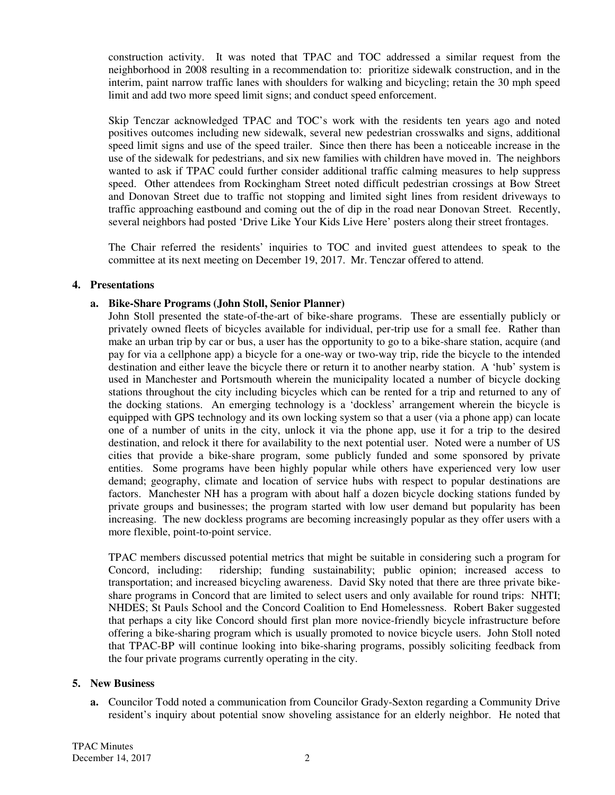construction activity. It was noted that TPAC and TOC addressed a similar request from the neighborhood in 2008 resulting in a recommendation to: prioritize sidewalk construction, and in the interim, paint narrow traffic lanes with shoulders for walking and bicycling; retain the 30 mph speed limit and add two more speed limit signs; and conduct speed enforcement.

Skip Tenczar acknowledged TPAC and TOC's work with the residents ten years ago and noted positives outcomes including new sidewalk, several new pedestrian crosswalks and signs, additional speed limit signs and use of the speed trailer. Since then there has been a noticeable increase in the use of the sidewalk for pedestrians, and six new families with children have moved in. The neighbors wanted to ask if TPAC could further consider additional traffic calming measures to help suppress speed. Other attendees from Rockingham Street noted difficult pedestrian crossings at Bow Street and Donovan Street due to traffic not stopping and limited sight lines from resident driveways to traffic approaching eastbound and coming out the of dip in the road near Donovan Street. Recently, several neighbors had posted 'Drive Like Your Kids Live Here' posters along their street frontages.

The Chair referred the residents' inquiries to TOC and invited guest attendees to speak to the committee at its next meeting on December 19, 2017. Mr. Tenczar offered to attend.

# **4. Presentations**

# **a. Bike-Share Programs (John Stoll, Senior Planner)**

John Stoll presented the state-of-the-art of bike-share programs. These are essentially publicly or privately owned fleets of bicycles available for individual, per-trip use for a small fee. Rather than make an urban trip by car or bus, a user has the opportunity to go to a bike-share station, acquire (and pay for via a cellphone app) a bicycle for a one-way or two-way trip, ride the bicycle to the intended destination and either leave the bicycle there or return it to another nearby station. A 'hub' system is used in Manchester and Portsmouth wherein the municipality located a number of bicycle docking stations throughout the city including bicycles which can be rented for a trip and returned to any of the docking stations. An emerging technology is a 'dockless' arrangement wherein the bicycle is equipped with GPS technology and its own locking system so that a user (via a phone app) can locate one of a number of units in the city, unlock it via the phone app, use it for a trip to the desired destination, and relock it there for availability to the next potential user. Noted were a number of US cities that provide a bike-share program, some publicly funded and some sponsored by private entities. Some programs have been highly popular while others have experienced very low user demand; geography, climate and location of service hubs with respect to popular destinations are factors. Manchester NH has a program with about half a dozen bicycle docking stations funded by private groups and businesses; the program started with low user demand but popularity has been increasing. The new dockless programs are becoming increasingly popular as they offer users with a more flexible, point-to-point service.

TPAC members discussed potential metrics that might be suitable in considering such a program for Concord, including: ridership; funding sustainability; public opinion; increased access to transportation; and increased bicycling awareness. David Sky noted that there are three private bikeshare programs in Concord that are limited to select users and only available for round trips: NHTI; NHDES; St Pauls School and the Concord Coalition to End Homelessness. Robert Baker suggested that perhaps a city like Concord should first plan more novice-friendly bicycle infrastructure before offering a bike-sharing program which is usually promoted to novice bicycle users. John Stoll noted that TPAC-BP will continue looking into bike-sharing programs, possibly soliciting feedback from the four private programs currently operating in the city.

# **5. New Business**

**a.** Councilor Todd noted a communication from Councilor Grady-Sexton regarding a Community Drive resident's inquiry about potential snow shoveling assistance for an elderly neighbor. He noted that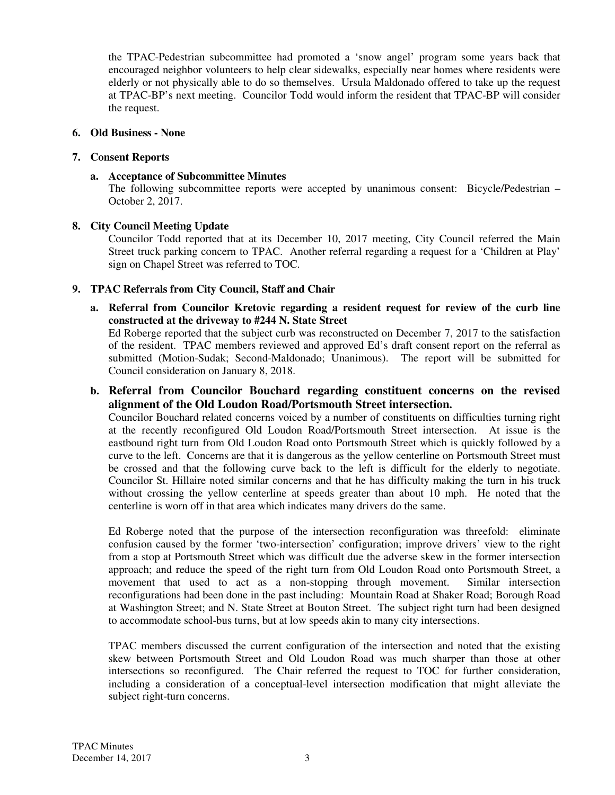the TPAC-Pedestrian subcommittee had promoted a 'snow angel' program some years back that encouraged neighbor volunteers to help clear sidewalks, especially near homes where residents were elderly or not physically able to do so themselves. Ursula Maldonado offered to take up the request at TPAC-BP's next meeting. Councilor Todd would inform the resident that TPAC-BP will consider the request.

# **6. Old Business - None**

# **7. Consent Reports**

**a. Acceptance of Subcommittee Minutes** 

The following subcommittee reports were accepted by unanimous consent: Bicycle/Pedestrian – October 2, 2017.

# **8. City Council Meeting Update**

Councilor Todd reported that at its December 10, 2017 meeting, City Council referred the Main Street truck parking concern to TPAC. Another referral regarding a request for a 'Children at Play' sign on Chapel Street was referred to TOC.

# **9. TPAC Referrals from City Council, Staff and Chair**

**a. Referral from Councilor Kretovic regarding a resident request for review of the curb line constructed at the driveway to #244 N. State Street**

Ed Roberge reported that the subject curb was reconstructed on December 7, 2017 to the satisfaction of the resident. TPAC members reviewed and approved Ed's draft consent report on the referral as submitted (Motion-Sudak; Second-Maldonado; Unanimous). The report will be submitted for Council consideration on January 8, 2018.

**b. Referral from Councilor Bouchard regarding constituent concerns on the revised alignment of the Old Loudon Road/Portsmouth Street intersection.** 

Councilor Bouchard related concerns voiced by a number of constituents on difficulties turning right at the recently reconfigured Old Loudon Road/Portsmouth Street intersection. At issue is the eastbound right turn from Old Loudon Road onto Portsmouth Street which is quickly followed by a curve to the left. Concerns are that it is dangerous as the yellow centerline on Portsmouth Street must be crossed and that the following curve back to the left is difficult for the elderly to negotiate. Councilor St. Hillaire noted similar concerns and that he has difficulty making the turn in his truck without crossing the yellow centerline at speeds greater than about 10 mph. He noted that the centerline is worn off in that area which indicates many drivers do the same.

Ed Roberge noted that the purpose of the intersection reconfiguration was threefold: eliminate confusion caused by the former 'two-intersection' configuration; improve drivers' view to the right from a stop at Portsmouth Street which was difficult due the adverse skew in the former intersection approach; and reduce the speed of the right turn from Old Loudon Road onto Portsmouth Street, a movement that used to act as a non-stopping through movement. Similar intersection reconfigurations had been done in the past including: Mountain Road at Shaker Road; Borough Road at Washington Street; and N. State Street at Bouton Street. The subject right turn had been designed to accommodate school-bus turns, but at low speeds akin to many city intersections.

TPAC members discussed the current configuration of the intersection and noted that the existing skew between Portsmouth Street and Old Loudon Road was much sharper than those at other intersections so reconfigured. The Chair referred the request to TOC for further consideration, including a consideration of a conceptual-level intersection modification that might alleviate the subject right-turn concerns.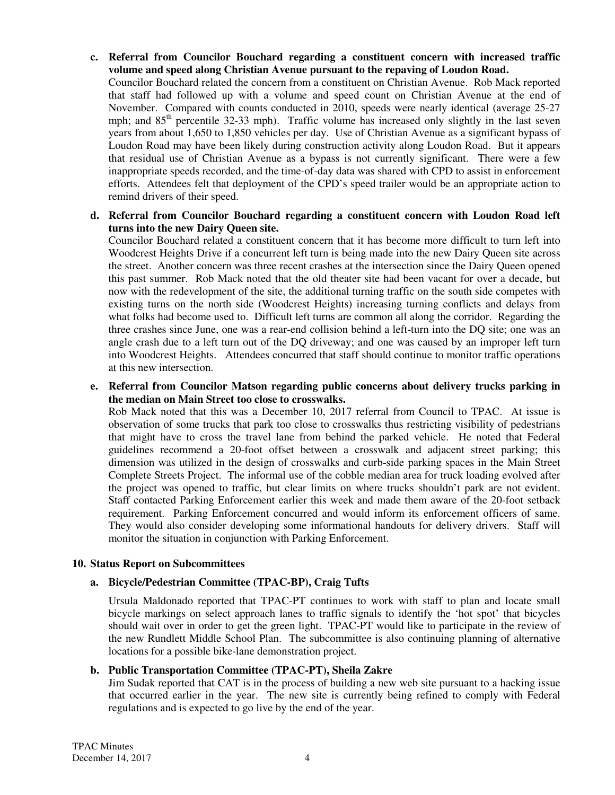**c. Referral from Councilor Bouchard regarding a constituent concern with increased traffic volume and speed along Christian Avenue pursuant to the repaving of Loudon Road.**  Councilor Bouchard related the concern from a constituent on Christian Avenue. Rob Mack reported that staff had followed up with a volume and speed count on Christian Avenue at the end of November. Compared with counts conducted in 2010, speeds were nearly identical (average 25-27 mph; and  $85<sup>th</sup>$  percentile 32-33 mph). Traffic volume has increased only slightly in the last seven years from about 1,650 to 1,850 vehicles per day. Use of Christian Avenue as a significant bypass of Loudon Road may have been likely during construction activity along Loudon Road. But it appears

that residual use of Christian Avenue as a bypass is not currently significant. There were a few inappropriate speeds recorded, and the time-of-day data was shared with CPD to assist in enforcement efforts. Attendees felt that deployment of the CPD's speed trailer would be an appropriate action to remind drivers of their speed.

# **d. Referral from Councilor Bouchard regarding a constituent concern with Loudon Road left turns into the new Dairy Queen site.**

Councilor Bouchard related a constituent concern that it has become more difficult to turn left into Woodcrest Heights Drive if a concurrent left turn is being made into the new Dairy Queen site across the street. Another concern was three recent crashes at the intersection since the Dairy Queen opened this past summer. Rob Mack noted that the old theater site had been vacant for over a decade, but now with the redevelopment of the site, the additional turning traffic on the south side competes with existing turns on the north side (Woodcrest Heights) increasing turning conflicts and delays from what folks had become used to. Difficult left turns are common all along the corridor. Regarding the three crashes since June, one was a rear-end collision behind a left-turn into the DQ site; one was an angle crash due to a left turn out of the DQ driveway; and one was caused by an improper left turn into Woodcrest Heights. Attendees concurred that staff should continue to monitor traffic operations at this new intersection.

**e. Referral from Councilor Matson regarding public concerns about delivery trucks parking in the median on Main Street too close to crosswalks.** 

Rob Mack noted that this was a December 10, 2017 referral from Council to TPAC. At issue is observation of some trucks that park too close to crosswalks thus restricting visibility of pedestrians that might have to cross the travel lane from behind the parked vehicle. He noted that Federal guidelines recommend a 20-foot offset between a crosswalk and adjacent street parking; this dimension was utilized in the design of crosswalks and curb-side parking spaces in the Main Street Complete Streets Project. The informal use of the cobble median area for truck loading evolved after the project was opened to traffic, but clear limits on where trucks shouldn't park are not evident. Staff contacted Parking Enforcement earlier this week and made them aware of the 20-foot setback requirement. Parking Enforcement concurred and would inform its enforcement officers of same. They would also consider developing some informational handouts for delivery drivers. Staff will monitor the situation in conjunction with Parking Enforcement.

# **10. Status Report on Subcommittees**

# **a. Bicycle/Pedestrian Committee (TPAC-BP), Craig Tufts**

Ursula Maldonado reported that TPAC-PT continues to work with staff to plan and locate small bicycle markings on select approach lanes to traffic signals to identify the 'hot spot' that bicycles should wait over in order to get the green light. TPAC-PT would like to participate in the review of the new Rundlett Middle School Plan. The subcommittee is also continuing planning of alternative locations for a possible bike-lane demonstration project.

#### **b. Public Transportation Committee (TPAC-PT), Sheila Zakre**

Jim Sudak reported that CAT is in the process of building a new web site pursuant to a hacking issue that occurred earlier in the year. The new site is currently being refined to comply with Federal regulations and is expected to go live by the end of the year.